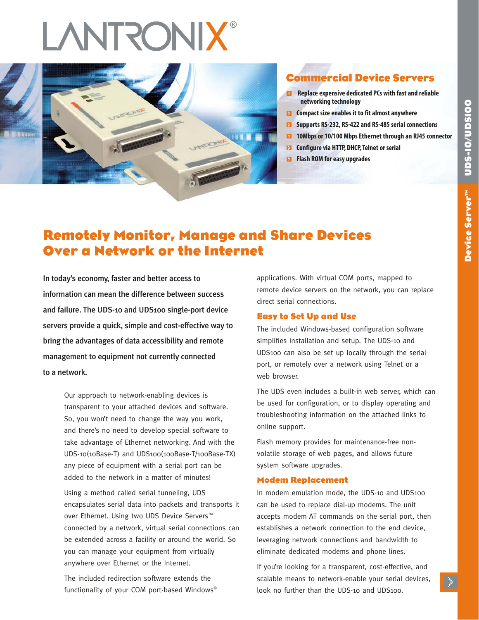# **LANTRONIX®**



# **Commercial Device Servers**

- **Replace expensive dedicated PCs with fast and reliable networking technology**
- **EX** Compact size enables it to fit almost anywhere
- **Supports RS-232, RS-422 and RS-485 serial connections**
- **10Mbps or 10/100 Mbps Ethernet through an RJ45 connector**
- **EX** Configure via HTTP, DHCP, Telnet or serial
- **Flash ROM for easy upgrades**

# **Remotely Monitor, Manage and Share Devices Over a Network or the Internet**

In today's economy, faster and better access to information can mean the difference between success and failure. The UDS-10 and UDS100 single-port device servers provide a quick, simple and cost-effective way to bring the advantages of data accessibility and remote management to equipment not currently connected to a network.

> Our approach to network-enabling devices is transparent to your attached devices and software. So, you won't need to change the way you work, and there's no need to develop special software to take advantage of Ethernet networking. And with the UDS-10(10Base-T) and UDS100(100Base-T/100Base-TX) any piece of equipment with a serial port can be added to the network in a matter of minutes!

Using a method called serial tunneling, UDS encapsulates serial data into packets and transports it over Ethernet. Using two UDS Device Servers™ connected by a network, virtual serial connections can be extended across a facility or around the world. So you can manage your equipment from virtually anywhere over Ethernet or the Internet.

The included redirection software extends the functionality of your COM port-based Windows® applications. With virtual COM ports, mapped to remote device servers on the network, you can replace direct serial connections.

# **Easy to Set Up and Use**

The included Windows-based configuration software simplifies installation and setup. The UDS-10 and UDS100 can also be set up locally through the serial port, or remotely over a network using Telnet or a web browser.

The UDS even includes a built-in web server, which can be used for configuration, or to display operating and troubleshooting information on the attached links to online support.

Flash memory provides for maintenance-free nonvolatile storage of web pages, and allows future system software upgrades.

# **Modem Replacement**

In modem emulation mode, the UDS-10 and UDS100 can be used to replace dial-up modems. The unit accepts modem AT commands on the serial port, then establishes a network connection to the end device, leveraging network connections and bandwidth to eliminate dedicated modems and phone lines.

If you're looking for a transparent, cost-effective, and scalable means to network-enable your serial devices, look no further than the UDS-10 and UDS100.